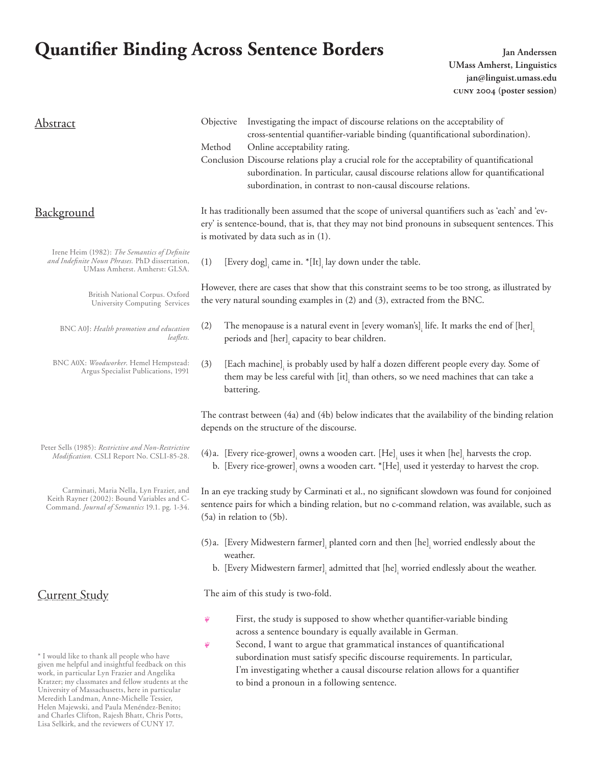# **Quantifier Binding Across Sentence Borders** *Jan Anderssen*

and Charles Clifton, Rajesh Bhatt, Chris Potts, Lisa Selkirk, and the reviewers of CUNY 17.

**UMass Amherst, Linguistics jan@linguist.umass.edu cuny 2004 (poster session)**

| <b>Abstract</b>                                                                                                                                                                                                                                                                                                                                   | Investigating the impact of discourse relations on the acceptability of<br>Objective<br>cross-sentential quantifier-variable binding (quantificational subordination).<br>Method<br>Online acceptability rating.<br>Conclusion Discourse relations play a crucial role for the acceptability of quantificational<br>subordination. In particular, causal discourse relations allow for quantificational<br>subordination, in contrast to non-causal discourse relations. |
|---------------------------------------------------------------------------------------------------------------------------------------------------------------------------------------------------------------------------------------------------------------------------------------------------------------------------------------------------|--------------------------------------------------------------------------------------------------------------------------------------------------------------------------------------------------------------------------------------------------------------------------------------------------------------------------------------------------------------------------------------------------------------------------------------------------------------------------|
| <b>Background</b>                                                                                                                                                                                                                                                                                                                                 | It has traditionally been assumed that the scope of universal quantifiers such as 'each' and 'ev-<br>ery' is sentence-bound, that is, that they may not bind pronouns in subsequent sentences. This<br>is motivated by data such as in (1).                                                                                                                                                                                                                              |
| Irene Heim (1982): The Semantics of Definite<br>and Indefinite Noun Phrases. PhD dissertation,<br>UMass Amherst. Amherst: GLSA.                                                                                                                                                                                                                   | (1)<br>[Every dog], came in. *[It], lay down under the table.                                                                                                                                                                                                                                                                                                                                                                                                            |
| British National Corpus. Oxford<br>University Computing Services                                                                                                                                                                                                                                                                                  | However, there are cases that show that this constraint seems to be too strong, as illustrated by<br>the very natural sounding examples in (2) and (3), extracted from the BNC.                                                                                                                                                                                                                                                                                          |
| BNC A0J: Health promotion and education<br>leaflets.                                                                                                                                                                                                                                                                                              | (2)<br>The menopause is a natural event in [every woman's]. life. It marks the end of [her].<br>periods and [her], capacity to bear children.                                                                                                                                                                                                                                                                                                                            |
| BNC A0X: Woodworker. Hemel Hempstead:<br>Argus Specialist Publications, 1991                                                                                                                                                                                                                                                                      | (3)<br>[Each machine], is probably used by half a dozen different people every day. Some of<br>them may be less careful with [it], than others, so we need machines that can take a<br>battering.                                                                                                                                                                                                                                                                        |
|                                                                                                                                                                                                                                                                                                                                                   | The contrast between (4a) and (4b) below indicates that the availability of the binding relation<br>depends on the structure of the discourse.                                                                                                                                                                                                                                                                                                                           |
| Peter Sells (1985): Restrictive and Non-Restrictive<br>Modification. CSLI Report No. CSLI-85-28.                                                                                                                                                                                                                                                  | (4) a. [Every rice-grower], owns a wooden cart. [He], uses it when [he], harvests the crop.<br>b. [Every rice-grower], owns a wooden cart. *[He], used it yesterday to harvest the crop.                                                                                                                                                                                                                                                                                 |
| Carminati, Maria Nella, Lyn Frazier, and<br>Keith Rayner (2002): Bound Variables and C-<br>Command. Journal of Semantics 19.1. pg. 1-34.                                                                                                                                                                                                          | In an eye tracking study by Carminati et al., no significant slowdown was found for conjoined<br>sentence pairs for which a binding relation, but no c-command relation, was available, such as<br>(5a) in relation to (5b).                                                                                                                                                                                                                                             |
|                                                                                                                                                                                                                                                                                                                                                   | (5) a. [Every Midwestern farmer], planted corn and then $[he]$ , worried endlessly about the<br>weather.<br>b. [Every Midwestern farmer], admitted that [he], worried endlessly about the weather.                                                                                                                                                                                                                                                                       |
| <b>Current Study</b>                                                                                                                                                                                                                                                                                                                              | The aim of this study is two-fold.                                                                                                                                                                                                                                                                                                                                                                                                                                       |
| * I would like to thank all people who have<br>given me helpful and insightful feedback on this<br>work, in particular Lyn Frazier and Angelika<br>Kratzer; my classmates and fellow students at the<br>University of Massachusetts, here in particular<br>Meredith Landman, Anne-Michelle Tessier,<br>Helen Majewski, and Paula Menéndez-Benito; | First, the study is supposed to show whether quantifier-variable binding<br>Ÿ<br>across a sentence boundary is equally available in German.<br>Second, I want to argue that grammatical instances of quantificational<br>Ÿ<br>subordination must satisfy specific discourse requirements. In particular,<br>I'm investigating whether a causal discourse relation allows for a quantifier<br>to bind a pronoun in a following sentence.                                  |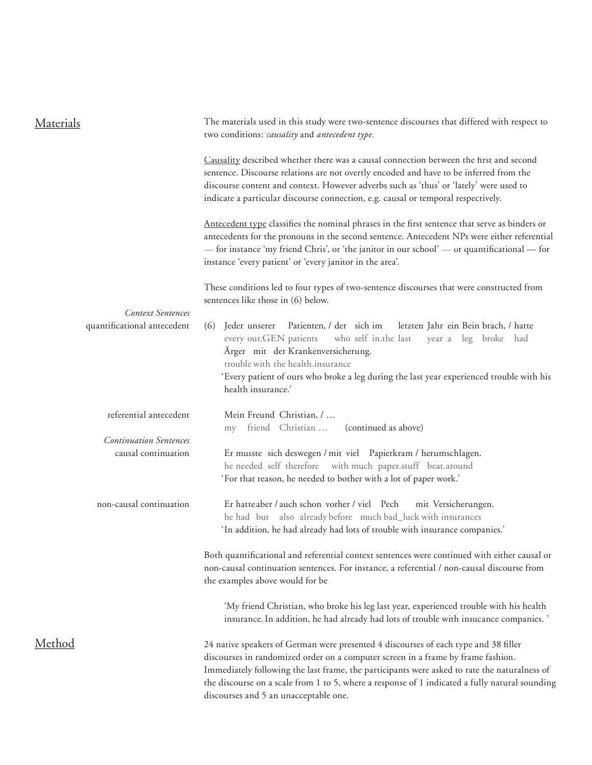| Materials                                               | The materials used in this study were two-sentence discourses that differed with respect to<br>two conditions: causality and antecedent type.                                                                                                                                                                                                                                                                      |
|---------------------------------------------------------|--------------------------------------------------------------------------------------------------------------------------------------------------------------------------------------------------------------------------------------------------------------------------------------------------------------------------------------------------------------------------------------------------------------------|
|                                                         | Causality described whether there was a causal connection between the first and second<br>sentence. Discourse relations are not overtly encoded and have to be inferred from the<br>discourse content and context. However adverbs such as 'thus' or 'lately' were used to<br>indicate a particular discourse connection, e.g. causal or temporal respectively.                                                    |
|                                                         | Antecedent type classifies the nominal phrases in the first sentence that serve as binders or<br>antecedents for the pronouns in the second sentence. Antecedent NPs were either referential<br>- for instance 'my friend Chris', or 'the janitor in our school' - or quantificational - for<br>instance 'every patient' or 'every janitor in the area'.                                                           |
|                                                         | These conditions led to four types of two-sentence discourses that were constructed from<br>sentences like those in (6) below.                                                                                                                                                                                                                                                                                     |
| <b>Context Sentences</b><br>quantificational antecedent | Jeder unserer Patienten, / der sich im<br>letzten Jahr ein Bein brach, / hatte<br>(6)<br>who self in.the last<br>every our.GEN patients<br>year a leg broke had<br>Ärger mit der Krankenversicherung.<br>trouble with the health.insurance                                                                                                                                                                         |
|                                                         | 'Every patient of ours who broke a leg during the last year experienced trouble with his<br>health insurance.'                                                                                                                                                                                                                                                                                                     |
| referential antecedent                                  | Mein Freund Christian, /<br>friend Christian<br>(continued as above)<br>my                                                                                                                                                                                                                                                                                                                                         |
| <b>Continuation Sentences</b>                           |                                                                                                                                                                                                                                                                                                                                                                                                                    |
| causal continuation                                     | Er musste sich deswegen / mit viel Papierkram / herumschlagen.<br>he needed self therefore with much paper.stuff beat.around<br>'For that reason, he needed to bother with a lot of paper work.'                                                                                                                                                                                                                   |
| non-causal continuation                                 | Er hatteaber / auch schon vorher / viel Pech<br>mit Versicherungen.<br>he had but also already before much bad_luck with insurances<br>'In addition, he had already had lots of trouble with insurance companies.'                                                                                                                                                                                                 |
|                                                         | Both quantificational and referential context sentences were continued with either causal or<br>non-causal continuation sentences. For instance, a referential / non-causal discourse from<br>the examples above would for be                                                                                                                                                                                      |
|                                                         | 'My friend Christian, who broke his leg last year, experienced trouble with his health<br>insurance. In addition, he had already had lots of trouble with insucance companies.'                                                                                                                                                                                                                                    |
| <u>Method</u>                                           | 24 native speakers of German were presented 4 discourses of each type and 38 filler<br>discourses in randomized order on a computer screen in a frame by frame fashion.<br>Immediately following the last frame, the participants were asked to rate the naturalness of<br>the discourse on a scale from 1 to 5, where a response of 1 indicated a fully natural sounding<br>discourses and 5 an unacceptable one. |